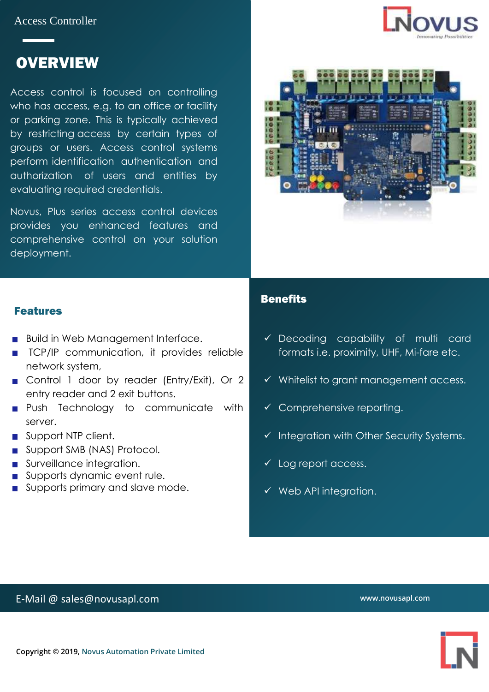Access Controller



# **OVERVIEW**

Access control is focused on controlling who has access, e.g. to an office or facility or parking zone. This is typically achieved by restricting access by certain types of groups or users. Access control systems perform identification [authentication](https://searchsecurity.techtarget.com/definition/authentication) and [authorization](https://searchsoftwarequality.techtarget.com/definition/authorization) of users and entities by evaluating required credentials.

Novus, Plus series access control devices provides you enhanced features and comprehensive control on your solution deployment.



#### Features

- **Build in Web Management Interface.**
- **TCP/IP** communication, it provides reliable network system,
- Control 1 door by reader (Entry/Exit), Or 2 entry reader and 2 exit buttons.
- **Push Technology to communicate with** server.
- Support NTP client.
- Support SMB (NAS) Protocol.
- Surveillance integration.
- Supports dynamic event rule.
- **Supports primary and slave mode.**

#### **Benefits**

- ✓ Decoding capability of multi card formats i.e. proximity, UHF, Mi-fare etc.
- ✓ Whitelist to grant management access.
- $\checkmark$  Comprehensive reporting.
- ✓ Integration with Other Security Systems.
- ✓ Log report access.
- ✓ Web API integration.

### E-Mail @ sales@novusapl.com

**www.novusapl.com**